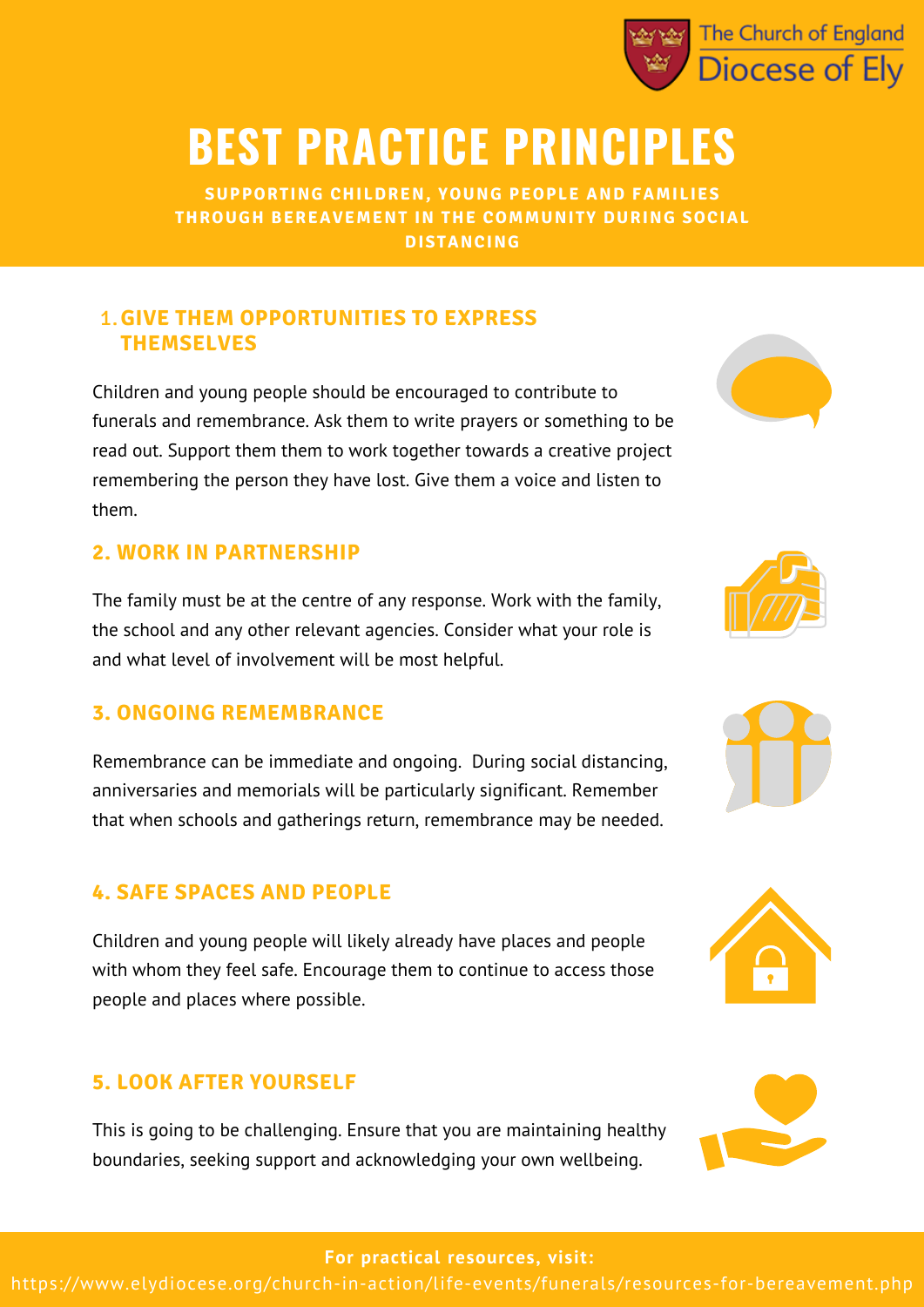

## **BEST PRACTICE PRINCIPLES**

**SUPPORTING CHILDREN, YOUNG PEOPLE AND FAMILIES THROUGH BEREAVEMENT IN THE COMMUNITY DURING SOCIAL DISTANCING**

### **GIVE THEM OPPORTUNITIES TO EXPRESS** 1. **THEMSELVES**

Children and young people should be encouraged to contribute to funerals and remembrance. Ask them to write prayers or something to be read out. Support them them to work together towards a creative project remembering the person they have lost. Give them a voice and listen to them.

### **2. WORK IN PARTNERSHIP**

The family must be at the centre of any response. Work with the family, the school and any other relevant agencies. Consider what your role is and what level of involvement will be most helpful.

### **3. ONGOING REMEMBRANCE**

Remembrance can be immediate and ongoing. During social distancing, anniversaries and memorials will be particularly significant. Remember that when schools and gatherings return, remembrance may be needed.

### **4. SAFE SPACES AND PEOPLE**

Children and young people will likely already have places and people with whom they feel safe. Encourage them to continue to access those people and places where possible.

### **5. LOOK AFTER YOURSELF**

This is going to be challenging. Ensure that you are maintaining healthy boundaries, seeking support and acknowledging your own wellbeing.











#### **For practical resources, visit:**

https://www.elydiocese.org/church-in-action/life-events/funerals/resources-for-bereavement.php